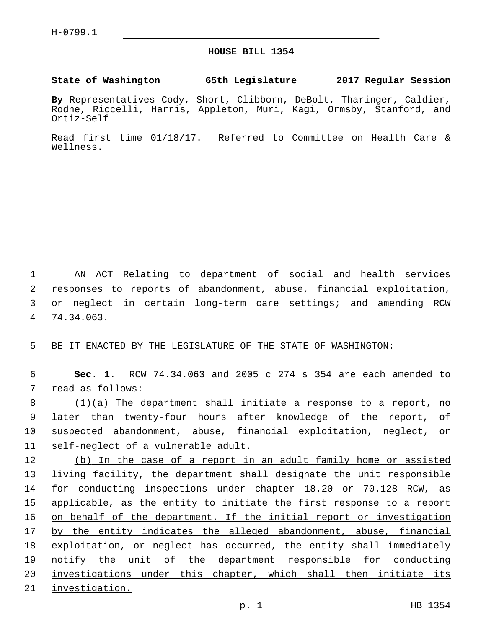## **HOUSE BILL 1354**

**State of Washington 65th Legislature 2017 Regular Session**

**By** Representatives Cody, Short, Clibborn, DeBolt, Tharinger, Caldier, Rodne, Riccelli, Harris, Appleton, Muri, Kagi, Ormsby, Stanford, and Ortiz-Self

Read first time 01/18/17. Referred to Committee on Health Care & Wellness.

 AN ACT Relating to department of social and health services responses to reports of abandonment, abuse, financial exploitation, or neglect in certain long-term care settings; and amending RCW 74.34.063.4

5 BE IT ENACTED BY THE LEGISLATURE OF THE STATE OF WASHINGTON:

6 **Sec. 1.** RCW 74.34.063 and 2005 c 274 s 354 are each amended to 7 read as follows:

 $(1)(a)$  The department shall initiate a response to a report, no later than twenty-four hours after knowledge of the report, of suspected abandonment, abuse, financial exploitation, neglect, or 11 self-neglect of a vulnerable adult.

 (b) In the case of a report in an adult family home or assisted living facility, the department shall designate the unit responsible for conducting inspections under chapter 18.20 or 70.128 RCW, as applicable, as the entity to initiate the first response to a report 16 on behalf of the department. If the initial report or investigation 17 by the entity indicates the alleged abandonment, abuse, financial exploitation, or neglect has occurred, the entity shall immediately notify the unit of the department responsible for conducting 20 investigations under this chapter, which shall then initiate its investigation.